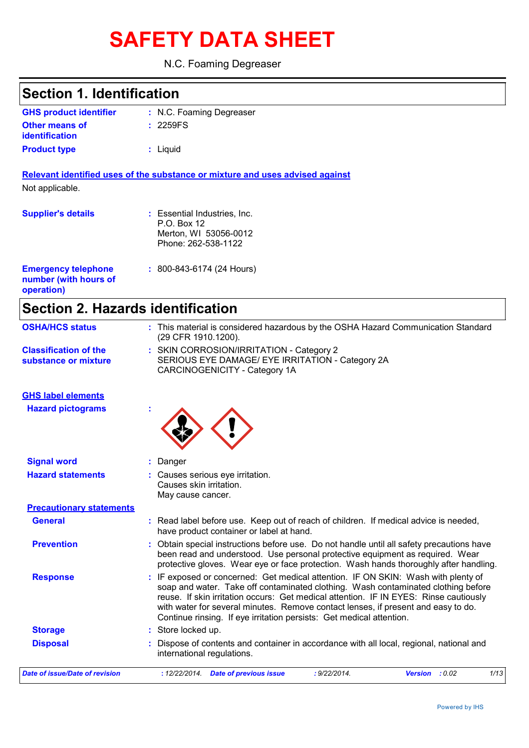# **SAFETY DATA SHEET**

#### N.C. Foaming Degreaser

## **Section 1. Identification**

| <b>GHS product identifier</b> | : N.C. Foaming Degreaser |
|-------------------------------|--------------------------|
| <b>Other means of</b>         | : 2259FS                 |
| <b>identification</b>         |                          |
| <b>Product type</b>           | : Liguid                 |

**Relevant identified uses of the substance or mixture and uses advised against** Not applicable.

| <b>Supplier's details</b>                                         | : Essential Industries, Inc.<br>P.O. Box 12<br>Merton, WI 53056-0012<br>Phone: 262-538-1122 |
|-------------------------------------------------------------------|---------------------------------------------------------------------------------------------|
| <b>Emergency telephone</b><br>number (with hours of<br>operation) | $: 800 - 843 - 6174$ (24 Hours)                                                             |

## **Section 2. Hazards identification**

| <b>OSHA/HCS status</b>                               | : This material is considered hazardous by the OSHA Hazard Communication Standard<br>(29 CFR 1910.1200).                                                                                                                                                                                                                                                                                                                     |  |  |
|------------------------------------------------------|------------------------------------------------------------------------------------------------------------------------------------------------------------------------------------------------------------------------------------------------------------------------------------------------------------------------------------------------------------------------------------------------------------------------------|--|--|
| <b>Classification of the</b><br>substance or mixture | : SKIN CORROSION/IRRITATION - Category 2<br>SERIOUS EYE DAMAGE/ EYE IRRITATION - Category 2A<br>CARCINOGENICITY - Category 1A                                                                                                                                                                                                                                                                                                |  |  |
| <b>GHS label elements</b>                            |                                                                                                                                                                                                                                                                                                                                                                                                                              |  |  |
| <b>Hazard pictograms</b>                             |                                                                                                                                                                                                                                                                                                                                                                                                                              |  |  |
| <b>Signal word</b>                                   | Danger                                                                                                                                                                                                                                                                                                                                                                                                                       |  |  |
| <b>Hazard statements</b>                             | : Causes serious eye irritation.<br>Causes skin irritation.<br>May cause cancer.                                                                                                                                                                                                                                                                                                                                             |  |  |
| <b>Precautionary statements</b>                      |                                                                                                                                                                                                                                                                                                                                                                                                                              |  |  |
| <b>General</b>                                       | : Read label before use. Keep out of reach of children. If medical advice is needed,<br>have product container or label at hand.                                                                                                                                                                                                                                                                                             |  |  |
| <b>Prevention</b>                                    | Obtain special instructions before use. Do not handle until all safety precautions have<br>been read and understood. Use personal protective equipment as required. Wear<br>protective gloves. Wear eye or face protection. Wash hands thoroughly after handling.                                                                                                                                                            |  |  |
| <b>Response</b>                                      | : IF exposed or concerned: Get medical attention. IF ON SKIN: Wash with plenty of<br>soap and water. Take off contaminated clothing. Wash contaminated clothing before<br>reuse. If skin irritation occurs: Get medical attention. IF IN EYES: Rinse cautiously<br>with water for several minutes. Remove contact lenses, if present and easy to do.<br>Continue rinsing. If eye irritation persists: Get medical attention. |  |  |
| <b>Storage</b>                                       | : Store locked up.                                                                                                                                                                                                                                                                                                                                                                                                           |  |  |
| <b>Disposal</b>                                      | Dispose of contents and container in accordance with all local, regional, national and<br>international regulations.                                                                                                                                                                                                                                                                                                         |  |  |
| <b>Date of issue/Date of revision</b>                | : 9/22/2014.<br><b>Version</b><br>: 0.02<br>1/13<br>: 12/22/2014. Date of previous issue                                                                                                                                                                                                                                                                                                                                     |  |  |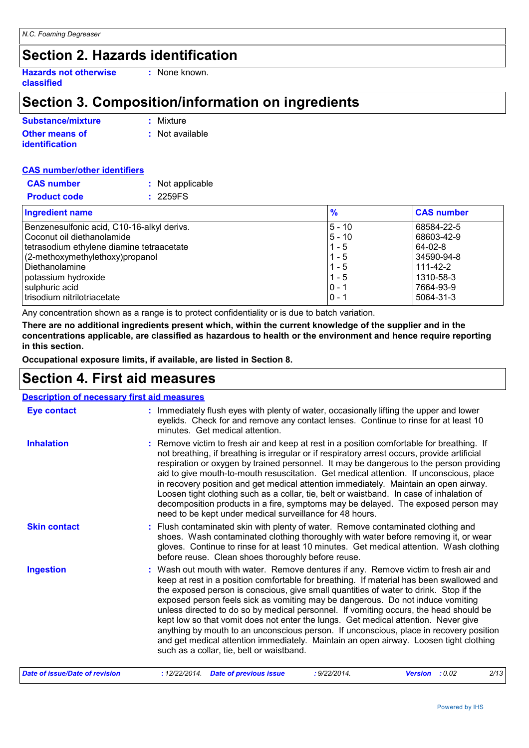### **Section 2. Hazards identification**

**Hazards not otherwise classified**

### **Section 3. Composition/information on ingredients**

**:** None known.

| Substance/mixture                              | : Mixture       |
|------------------------------------------------|-----------------|
| <b>Other means of</b><br><b>identification</b> | : Not available |
|                                                |                 |

#### **CAS number/other identifiers**

| <b>CAS number</b>   | : Not applicable |
|---------------------|------------------|
| <b>Product code</b> | : 2259FS         |

| <b>Ingredient name</b>                     | $\frac{9}{6}$ | <b>CAS number</b> |
|--------------------------------------------|---------------|-------------------|
| Benzenesulfonic acid, C10-16-alkyl derivs. | l5 - 10       | 68584-22-5        |
| Coconut oil diethanolamide                 | $5 - 10$      | 68603-42-9        |
| tetrasodium ethylene diamine tetraacetate  | $1 - 5$       | 64-02-8           |
| $(2$ -methoxymethylethoxy) propanol        | $1 - 5$       | 34590-94-8        |
| <b>I</b> Diethanolamine                    | $1 - 5$       | $111 - 42 - 2$    |
| potassium hydroxide                        | $1 - 5$       | 1310-58-3         |
| sulphuric acid                             | $0 - 1$       | 7664-93-9         |
| trisodium nitrilotriacetate                | $0 - 1$       | 5064-31-3         |

Any concentration shown as a range is to protect confidentiality or is due to batch variation.

**There are no additional ingredients present which, within the current knowledge of the supplier and in the concentrations applicable, are classified as hazardous to health or the environment and hence require reporting in this section.**

**Occupational exposure limits, if available, are listed in Section 8.**

### **Section 4. First aid measures**

#### **Description of necessary first aid measures**

| <b>Date of issue/Date of revision</b> | 2/13<br>: 12/22/2014 Date of previous issue<br>: 9/22/2014.<br>Version : 0.02                                                                                                                                                                                                                                                                                                                                                                                                                                                                                                                                                                                                                                                                                             |  |
|---------------------------------------|---------------------------------------------------------------------------------------------------------------------------------------------------------------------------------------------------------------------------------------------------------------------------------------------------------------------------------------------------------------------------------------------------------------------------------------------------------------------------------------------------------------------------------------------------------------------------------------------------------------------------------------------------------------------------------------------------------------------------------------------------------------------------|--|
| <b>Ingestion</b>                      | : Wash out mouth with water. Remove dentures if any. Remove victim to fresh air and<br>keep at rest in a position comfortable for breathing. If material has been swallowed and<br>the exposed person is conscious, give small quantities of water to drink. Stop if the<br>exposed person feels sick as vomiting may be dangerous. Do not induce vomiting<br>unless directed to do so by medical personnel. If vomiting occurs, the head should be<br>kept low so that vomit does not enter the lungs. Get medical attention. Never give<br>anything by mouth to an unconscious person. If unconscious, place in recovery position<br>and get medical attention immediately. Maintain an open airway. Loosen tight clothing<br>such as a collar, tie, belt or waistband. |  |
| <b>Skin contact</b>                   | : Flush contaminated skin with plenty of water. Remove contaminated clothing and<br>shoes. Wash contaminated clothing thoroughly with water before removing it, or wear<br>gloves. Continue to rinse for at least 10 minutes. Get medical attention. Wash clothing<br>before reuse. Clean shoes thoroughly before reuse.                                                                                                                                                                                                                                                                                                                                                                                                                                                  |  |
| <b>Inhalation</b>                     | : Remove victim to fresh air and keep at rest in a position comfortable for breathing. If<br>not breathing, if breathing is irregular or if respiratory arrest occurs, provide artificial<br>respiration or oxygen by trained personnel. It may be dangerous to the person providing<br>aid to give mouth-to-mouth resuscitation. Get medical attention. If unconscious, place<br>in recovery position and get medical attention immediately. Maintain an open airway.<br>Loosen tight clothing such as a collar, tie, belt or waistband. In case of inhalation of<br>decomposition products in a fire, symptoms may be delayed. The exposed person may<br>need to be kept under medical surveillance for 48 hours.                                                       |  |
| <b>Eye contact</b>                    | : Immediately flush eyes with plenty of water, occasionally lifting the upper and lower<br>eyelids. Check for and remove any contact lenses. Continue to rinse for at least 10<br>minutes. Get medical attention.                                                                                                                                                                                                                                                                                                                                                                                                                                                                                                                                                         |  |
|                                       |                                                                                                                                                                                                                                                                                                                                                                                                                                                                                                                                                                                                                                                                                                                                                                           |  |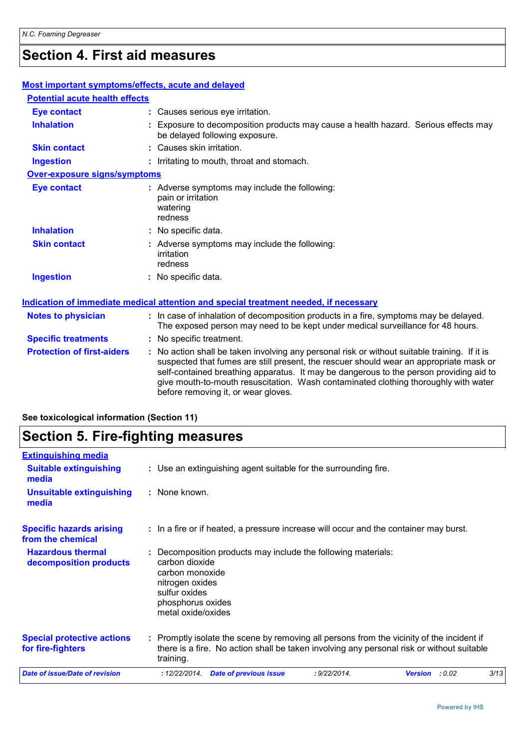## **Section 4. First aid measures**

| <b>Most important symptoms/effects, acute and delayed</b> |                                                                                                                                                                                                                                                                                   |  |
|-----------------------------------------------------------|-----------------------------------------------------------------------------------------------------------------------------------------------------------------------------------------------------------------------------------------------------------------------------------|--|
| <b>Potential acute health effects</b>                     |                                                                                                                                                                                                                                                                                   |  |
| <b>Eye contact</b>                                        | : Causes serious eye irritation.                                                                                                                                                                                                                                                  |  |
| <b>Inhalation</b>                                         | : Exposure to decomposition products may cause a health hazard. Serious effects may<br>be delayed following exposure.                                                                                                                                                             |  |
| <b>Skin contact</b>                                       | : Causes skin irritation.                                                                                                                                                                                                                                                         |  |
| <b>Ingestion</b>                                          | : Irritating to mouth, throat and stomach.                                                                                                                                                                                                                                        |  |
| <b>Over-exposure signs/symptoms</b>                       |                                                                                                                                                                                                                                                                                   |  |
| <b>Eye contact</b>                                        | : Adverse symptoms may include the following:<br>pain or irritation<br>watering<br>redness                                                                                                                                                                                        |  |
| <b>Inhalation</b>                                         | : No specific data.                                                                                                                                                                                                                                                               |  |
| <b>Skin contact</b>                                       | : Adverse symptoms may include the following:<br>irritation<br>redness                                                                                                                                                                                                            |  |
| <b>Ingestion</b>                                          | : No specific data.                                                                                                                                                                                                                                                               |  |
|                                                           | Indication of immediate medical attention and special treatment needed, if necessary                                                                                                                                                                                              |  |
| <b>Notes to physician</b>                                 | : In case of inhalation of decomposition products in a fire, symptoms may be delayed.<br>The exposed person may need to be kept under medical surveillance for 48 hours.                                                                                                          |  |
| <b>Specific treatments</b>                                | : No specific treatment.                                                                                                                                                                                                                                                          |  |
| <b>Protection of first-aiders</b>                         | : No action shall be taken involving any personal risk or without suitable training. If it is<br>suspected that fumes are still present, the rescuer should wear an appropriate mask or<br>self-contained breathing apparatus. It may be dangerous to the person providing aid to |  |

before removing it, or wear gloves.

give mouth-to-mouth resuscitation. Wash contaminated clothing thoroughly with water

#### **See toxicological information (Section 11)**

## **Section 5. Fire-fighting measures**

| <b>Extinguishing media</b>                             |                                                                                                                                                                                                     |              |                          |      |
|--------------------------------------------------------|-----------------------------------------------------------------------------------------------------------------------------------------------------------------------------------------------------|--------------|--------------------------|------|
| <b>Suitable extinguishing</b><br>media                 | : Use an extinguishing agent suitable for the surrounding fire.                                                                                                                                     |              |                          |      |
| <b>Unsuitable extinguishing</b><br>media               | : None known.                                                                                                                                                                                       |              |                          |      |
| <b>Specific hazards arising</b><br>from the chemical   | : In a fire or if heated, a pressure increase will occur and the container may burst.                                                                                                               |              |                          |      |
| <b>Hazardous thermal</b><br>decomposition products     | : Decomposition products may include the following materials:<br>carbon dioxide<br>carbon monoxide<br>nitrogen oxides<br>sulfur oxides<br>phosphorus oxides<br>metal oxide/oxides                   |              |                          |      |
| <b>Special protective actions</b><br>for fire-fighters | : Promptly isolate the scene by removing all persons from the vicinity of the incident if<br>there is a fire. No action shall be taken involving any personal risk or without suitable<br>training. |              |                          |      |
| <b>Date of issue/Date of revision</b>                  | : 12/22/2014.<br><b>Date of previous issue</b>                                                                                                                                                      | : 9/22/2014. | : 0.02<br><b>Version</b> | 3/13 |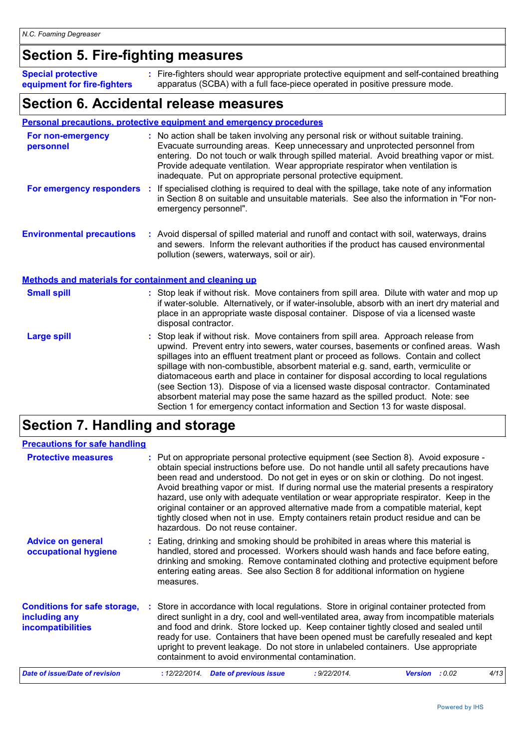### **Section 5. Fire-fighting measures**

Fire-fighters should wear appropriate protective equipment and self-contained breathing **:** apparatus (SCBA) with a full face-piece operated in positive pressure mode. **Special protective equipment for fire-fighters**

### **Section 6. Accidental release measures**

#### **Personal precautions, protective equipment and emergency procedures**

| For non-emergency<br>personnel                        | : No action shall be taken involving any personal risk or without suitable training.<br>Evacuate surrounding areas. Keep unnecessary and unprotected personnel from<br>entering. Do not touch or walk through spilled material. Avoid breathing vapor or mist.<br>Provide adequate ventilation. Wear appropriate respirator when ventilation is<br>inadequate. Put on appropriate personal protective equipment.                                                                                                                                                                                                                                                                                             |
|-------------------------------------------------------|--------------------------------------------------------------------------------------------------------------------------------------------------------------------------------------------------------------------------------------------------------------------------------------------------------------------------------------------------------------------------------------------------------------------------------------------------------------------------------------------------------------------------------------------------------------------------------------------------------------------------------------------------------------------------------------------------------------|
| For emergency responders                              | : If specialised clothing is required to deal with the spillage, take note of any information<br>in Section 8 on suitable and unsuitable materials. See also the information in "For non-<br>emergency personnel".                                                                                                                                                                                                                                                                                                                                                                                                                                                                                           |
| <b>Environmental precautions</b>                      | : Avoid dispersal of spilled material and runoff and contact with soil, waterways, drains<br>and sewers. Inform the relevant authorities if the product has caused environmental<br>pollution (sewers, waterways, soil or air).                                                                                                                                                                                                                                                                                                                                                                                                                                                                              |
| Methods and materials for containment and cleaning up |                                                                                                                                                                                                                                                                                                                                                                                                                                                                                                                                                                                                                                                                                                              |
| <b>Small spill</b>                                    | : Stop leak if without risk. Move containers from spill area. Dilute with water and mop up<br>if water-soluble. Alternatively, or if water-insoluble, absorb with an inert dry material and<br>place in an appropriate waste disposal container. Dispose of via a licensed waste<br>disposal contractor.                                                                                                                                                                                                                                                                                                                                                                                                     |
| <b>Large spill</b>                                    | : Stop leak if without risk. Move containers from spill area. Approach release from<br>upwind. Prevent entry into sewers, water courses, basements or confined areas. Wash<br>spillages into an effluent treatment plant or proceed as follows. Contain and collect<br>spillage with non-combustible, absorbent material e.g. sand, earth, vermiculite or<br>diatomaceous earth and place in container for disposal according to local regulations<br>(see Section 13). Dispose of via a licensed waste disposal contractor. Contaminated<br>absorbent material may pose the same hazard as the spilled product. Note: see<br>Section 1 for emergency contact information and Section 13 for waste disposal. |

## **Section 7. Handling and storage**

| <b>Precautions for safe handling</b>                                             |                                                                                                                                                                                                                                                                                                                                                                                                                                                                                                                                                                                                                                                                              |  |
|----------------------------------------------------------------------------------|------------------------------------------------------------------------------------------------------------------------------------------------------------------------------------------------------------------------------------------------------------------------------------------------------------------------------------------------------------------------------------------------------------------------------------------------------------------------------------------------------------------------------------------------------------------------------------------------------------------------------------------------------------------------------|--|
| <b>Protective measures</b>                                                       | Put on appropriate personal protective equipment (see Section 8). Avoid exposure -<br>obtain special instructions before use. Do not handle until all safety precautions have<br>been read and understood. Do not get in eyes or on skin or clothing. Do not ingest.<br>Avoid breathing vapor or mist. If during normal use the material presents a respiratory<br>hazard, use only with adequate ventilation or wear appropriate respirator. Keep in the<br>original container or an approved alternative made from a compatible material, kept<br>tightly closed when not in use. Empty containers retain product residue and can be<br>hazardous. Do not reuse container. |  |
| <b>Advice on general</b><br>occupational hygiene                                 | Eating, drinking and smoking should be prohibited in areas where this material is<br>handled, stored and processed. Workers should wash hands and face before eating,<br>drinking and smoking. Remove contaminated clothing and protective equipment before<br>entering eating areas. See also Section 8 for additional information on hygiene<br>measures.                                                                                                                                                                                                                                                                                                                  |  |
| <b>Conditions for safe storage,</b><br>including any<br><b>incompatibilities</b> | Store in accordance with local regulations. Store in original container protected from<br>direct sunlight in a dry, cool and well-ventilated area, away from incompatible materials<br>and food and drink. Store locked up. Keep container tightly closed and sealed until<br>ready for use. Containers that have been opened must be carefully resealed and kept<br>upright to prevent leakage. Do not store in unlabeled containers. Use appropriate<br>containment to avoid environmental contamination.                                                                                                                                                                  |  |
| Date of issue/Date of revision                                                   | 4/13<br>: 12/22/2014.<br><b>Date of previous issue</b><br>: 9/22/2014.<br><b>Version</b><br>: 0.02                                                                                                                                                                                                                                                                                                                                                                                                                                                                                                                                                                           |  |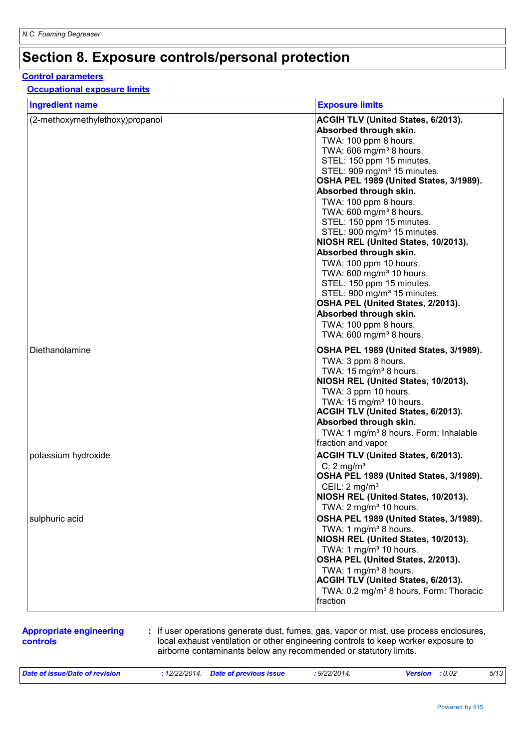## **Section 8. Exposure controls/personal protection**

#### **Control parameters**

#### **Occupational exposure limits**

| <b>Ingredient name</b>          | <b>Exposure limits</b>                             |
|---------------------------------|----------------------------------------------------|
| (2-methoxymethylethoxy)propanol | ACGIH TLV (United States, 6/2013).                 |
|                                 | Absorbed through skin.                             |
|                                 | TWA: 100 ppm 8 hours.                              |
|                                 | TWA: 606 mg/m <sup>3</sup> 8 hours.                |
|                                 | STEL: 150 ppm 15 minutes.                          |
|                                 | STEL: 909 mg/m <sup>3</sup> 15 minutes.            |
|                                 | OSHA PEL 1989 (United States, 3/1989).             |
|                                 | Absorbed through skin.                             |
|                                 | TWA: 100 ppm 8 hours.                              |
|                                 | TWA: 600 mg/m <sup>3</sup> 8 hours.                |
|                                 | STEL: 150 ppm 15 minutes.                          |
|                                 | STEL: 900 mg/m <sup>3</sup> 15 minutes.            |
|                                 | NIOSH REL (United States, 10/2013).                |
|                                 | Absorbed through skin.                             |
|                                 | TWA: 100 ppm 10 hours.                             |
|                                 | TWA: 600 mg/m <sup>3</sup> 10 hours.               |
|                                 | STEL: 150 ppm 15 minutes.                          |
|                                 | STEL: 900 mg/m <sup>3</sup> 15 minutes.            |
|                                 | OSHA PEL (United States, 2/2013).                  |
|                                 | Absorbed through skin.                             |
|                                 | TWA: 100 ppm 8 hours.                              |
|                                 | TWA: 600 mg/m <sup>3</sup> 8 hours.                |
| Diethanolamine                  | OSHA PEL 1989 (United States, 3/1989).             |
|                                 | TWA: 3 ppm 8 hours.                                |
|                                 | TWA: 15 mg/m <sup>3</sup> 8 hours.                 |
|                                 | NIOSH REL (United States, 10/2013).                |
|                                 | TWA: 3 ppm 10 hours.                               |
|                                 | TWA: 15 mg/m <sup>3</sup> 10 hours.                |
|                                 | ACGIH TLV (United States, 6/2013).                 |
|                                 | Absorbed through skin.                             |
|                                 | TWA: 1 mg/m <sup>3</sup> 8 hours. Form: Inhalable  |
|                                 | fraction and vapor                                 |
| potassium hydroxide             | ACGIH TLV (United States, 6/2013).                 |
|                                 | C: $2 \text{ mg/m}^3$                              |
|                                 | OSHA PEL 1989 (United States, 3/1989).             |
|                                 | CEIL: 2 mg/m <sup>3</sup>                          |
|                                 | NIOSH REL (United States, 10/2013).                |
|                                 | TWA: 2 mg/m <sup>3</sup> 10 hours.                 |
| sulphuric acid                  | OSHA PEL 1989 (United States, 3/1989).             |
|                                 | TWA: 1 mg/m <sup>3</sup> 8 hours.                  |
|                                 | NIOSH REL (United States, 10/2013).                |
|                                 | TWA: 1 mg/m $3$ 10 hours.                          |
|                                 | OSHA PEL (United States, 2/2013).                  |
|                                 | TWA: 1 mg/m <sup>3</sup> 8 hours.                  |
|                                 | ACGIH TLV (United States, 6/2013).                 |
|                                 | TWA: 0.2 mg/m <sup>3</sup> 8 hours. Form: Thoracic |
|                                 | fraction                                           |
|                                 |                                                    |

#### **Appropriate engineering controls**

**:** If user operations generate dust, fumes, gas, vapor or mist, use process enclosures, local exhaust ventilation or other engineering controls to keep worker exposure to airborne contaminants below any recommended or statutory limits.

| Date of issue/<br>evision<br>./I late | 12/22/2014<br>the contract of the contract of the contract of the contract of the contract of the contract of the contract of | nate of pro<br>revious issue | $\cdots$<br>22/201'<br>the contract of the contract of the contract of the contract of the contract of the contract of the contract of |  | 0.02 | 5/13 |
|---------------------------------------|-------------------------------------------------------------------------------------------------------------------------------|------------------------------|----------------------------------------------------------------------------------------------------------------------------------------|--|------|------|
|---------------------------------------|-------------------------------------------------------------------------------------------------------------------------------|------------------------------|----------------------------------------------------------------------------------------------------------------------------------------|--|------|------|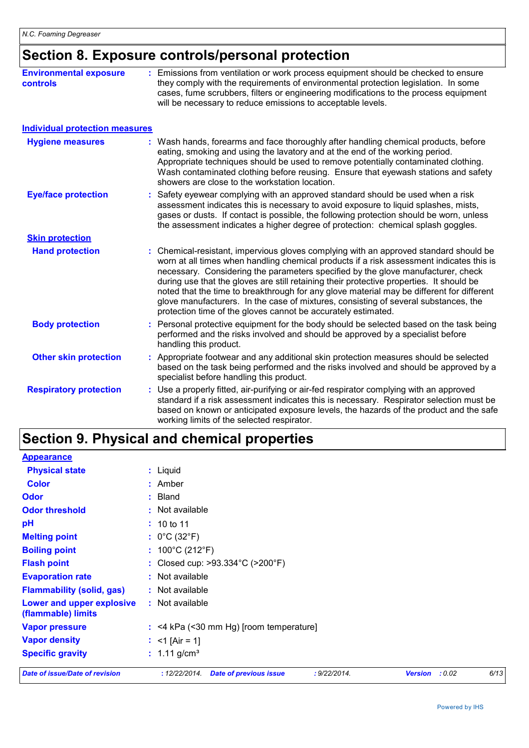## **Section 8. Exposure controls/personal protection**

| <b>Environmental exposure</b><br><b>controls</b> | : Emissions from ventilation or work process equipment should be checked to ensure<br>they comply with the requirements of environmental protection legislation. In some<br>cases, fume scrubbers, filters or engineering modifications to the process equipment<br>will be necessary to reduce emissions to acceptable levels.                                                                                                                                                                                                                                                                                        |  |  |  |  |
|--------------------------------------------------|------------------------------------------------------------------------------------------------------------------------------------------------------------------------------------------------------------------------------------------------------------------------------------------------------------------------------------------------------------------------------------------------------------------------------------------------------------------------------------------------------------------------------------------------------------------------------------------------------------------------|--|--|--|--|
| <b>Individual protection measures</b>            |                                                                                                                                                                                                                                                                                                                                                                                                                                                                                                                                                                                                                        |  |  |  |  |
| <b>Hygiene measures</b>                          | : Wash hands, forearms and face thoroughly after handling chemical products, before<br>eating, smoking and using the lavatory and at the end of the working period.<br>Appropriate techniques should be used to remove potentially contaminated clothing.<br>Wash contaminated clothing before reusing. Ensure that eyewash stations and safety<br>showers are close to the workstation location.                                                                                                                                                                                                                      |  |  |  |  |
| <b>Eye/face protection</b>                       | Safety eyewear complying with an approved standard should be used when a risk<br>assessment indicates this is necessary to avoid exposure to liquid splashes, mists,<br>gases or dusts. If contact is possible, the following protection should be worn, unless<br>the assessment indicates a higher degree of protection: chemical splash goggles.                                                                                                                                                                                                                                                                    |  |  |  |  |
| <b>Skin protection</b>                           |                                                                                                                                                                                                                                                                                                                                                                                                                                                                                                                                                                                                                        |  |  |  |  |
| <b>Hand protection</b>                           | : Chemical-resistant, impervious gloves complying with an approved standard should be<br>worn at all times when handling chemical products if a risk assessment indicates this is<br>necessary. Considering the parameters specified by the glove manufacturer, check<br>during use that the gloves are still retaining their protective properties. It should be<br>noted that the time to breakthrough for any glove material may be different for different<br>glove manufacturers. In the case of mixtures, consisting of several substances, the<br>protection time of the gloves cannot be accurately estimated. |  |  |  |  |
| <b>Body protection</b>                           | Personal protective equipment for the body should be selected based on the task being<br>performed and the risks involved and should be approved by a specialist before<br>handling this product.                                                                                                                                                                                                                                                                                                                                                                                                                      |  |  |  |  |
| <b>Other skin protection</b>                     | : Appropriate footwear and any additional skin protection measures should be selected<br>based on the task being performed and the risks involved and should be approved by a<br>specialist before handling this product.                                                                                                                                                                                                                                                                                                                                                                                              |  |  |  |  |
| <b>Respiratory protection</b>                    | Use a properly fitted, air-purifying or air-fed respirator complying with an approved<br>standard if a risk assessment indicates this is necessary. Respirator selection must be<br>based on known or anticipated exposure levels, the hazards of the product and the safe<br>working limits of the selected respirator.                                                                                                                                                                                                                                                                                               |  |  |  |  |

## **Section 9. Physical and chemical properties**

| <b>Appearance</b>                                      |                                                                                  |        |      |
|--------------------------------------------------------|----------------------------------------------------------------------------------|--------|------|
| <b>Physical state</b>                                  | : Liquid                                                                         |        |      |
| <b>Color</b>                                           | $:$ Amber                                                                        |        |      |
| <b>Odor</b>                                            | $:$ Bland                                                                        |        |      |
| <b>Odor threshold</b>                                  | : Not available                                                                  |        |      |
| pH                                                     | : 10 to 11                                                                       |        |      |
| <b>Melting point</b>                                   | : $0^{\circ}$ C (32 $^{\circ}$ F)                                                |        |      |
| <b>Boiling point</b>                                   | : $100^{\circ}$ C (212 $^{\circ}$ F)                                             |        |      |
| <b>Flash point</b>                                     | : Closed cup: >93.334°C (>200°F)                                                 |        |      |
| <b>Evaporation rate</b>                                | $:$ Not available                                                                |        |      |
| <b>Flammability (solid, gas)</b>                       | : Not available                                                                  |        |      |
| <b>Lower and upper explosive</b><br>(flammable) limits | : Not available                                                                  |        |      |
| <b>Vapor pressure</b>                                  | $:$ <4 kPa (<30 mm Hg) [room temperature]                                        |        |      |
| <b>Vapor density</b>                                   | : $<$ 1 [Air = 1]                                                                |        |      |
| <b>Specific gravity</b>                                | : $1.11$ g/cm <sup>3</sup>                                                       |        |      |
| <b>Date of issue/Date of revision</b>                  | : 9/22/2014.<br><b>Date of previous issue</b><br><b>Version</b><br>: 12/22/2014. | : 0.02 | 6/13 |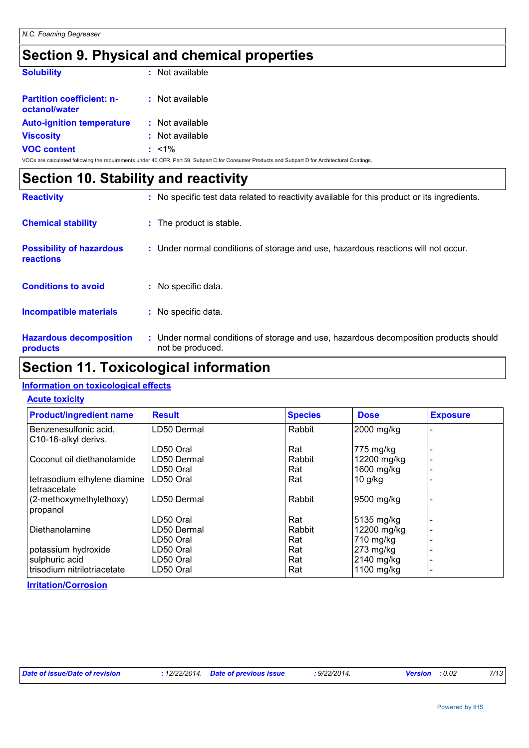## **Section 9. Physical and chemical properties**

| <b>Solubility</b>                                 | $:$ Not available                                                                                                                               |
|---------------------------------------------------|-------------------------------------------------------------------------------------------------------------------------------------------------|
| <b>Partition coefficient: n-</b><br>octanol/water | : Not available                                                                                                                                 |
| <b>Auto-ignition temperature</b>                  | $:$ Not available                                                                                                                               |
| <b>Viscosity</b>                                  | $:$ Not available                                                                                                                               |
| <b>VOC content</b>                                | $: 1\%$                                                                                                                                         |
|                                                   | VOCs are calculated following the requirements under 40 CFR, Part 59, Subpart C for Consumer Products and Subpart D for Architectural Coatings. |

|                                              | Section 10. Stability and reactivity |                                                                                                           |  |  |  |  |  |
|----------------------------------------------|--------------------------------------|-----------------------------------------------------------------------------------------------------------|--|--|--|--|--|
| <b>Reactivity</b>                            |                                      | : No specific test data related to reactivity available for this product or its ingredients.              |  |  |  |  |  |
| <b>Chemical stability</b>                    |                                      | : The product is stable.                                                                                  |  |  |  |  |  |
| <b>Possibility of hazardous</b><br>reactions |                                      | : Under normal conditions of storage and use, hazardous reactions will not occur.                         |  |  |  |  |  |
| <b>Conditions to avoid</b>                   |                                      | : No specific data.                                                                                       |  |  |  |  |  |
| <b>Incompatible materials</b>                |                                      | : No specific data.                                                                                       |  |  |  |  |  |
| <b>Hazardous decomposition</b><br>products   |                                      | : Under normal conditions of storage and use, hazardous decomposition products should<br>not be produced. |  |  |  |  |  |

## **Section 11. Toxicological information**

#### **Information on toxicological effects**

#### **Acute toxicity**

| <b>Product/ingredient name</b>                             | <b>Result</b> | <b>Species</b> | <b>Dose</b> | <b>Exposure</b> |
|------------------------------------------------------------|---------------|----------------|-------------|-----------------|
| Benzenesulfonic acid,<br>C <sub>10</sub> -16-alkyl derivs. | LD50 Dermal   | Rabbit         | 2000 mg/kg  |                 |
|                                                            | LD50 Oral     | Rat            | 775 mg/kg   |                 |
| Coconut oil diethanolamide                                 | LD50 Dermal   | Rabbit         | 12200 mg/kg |                 |
|                                                            | LD50 Oral     | Rat            | 1600 mg/kg  |                 |
| tetrasodium ethylene diamine<br>tetraacetate               | LD50 Oral     | Rat            | $10$ g/kg   |                 |
| (2-methoxymethylethoxy)<br>propanol                        | LD50 Dermal   | Rabbit         | 9500 mg/kg  |                 |
|                                                            | LD50 Oral     | Rat            | 5135 mg/kg  |                 |
| Diethanolamine                                             | LD50 Dermal   | Rabbit         | 12200 mg/kg |                 |
|                                                            | LD50 Oral     | Rat            | 710 mg/kg   |                 |
| potassium hydroxide                                        | LD50 Oral     | Rat            | 273 mg/kg   |                 |
| sulphuric acid                                             | LD50 Oral     | Rat            | 2140 mg/kg  |                 |
| trisodium nitrilotriacetate                                | LD50 Oral     | Rat            | 1100 mg/kg  |                 |

**Irritation/Corrosion**

| Date of issue/Date of revision |  | : 12/22/2014. Date of previous issue | $9/22/2014$ . | <b>Version</b> : 0.02 | 7/13 |
|--------------------------------|--|--------------------------------------|---------------|-----------------------|------|
|--------------------------------|--|--------------------------------------|---------------|-----------------------|------|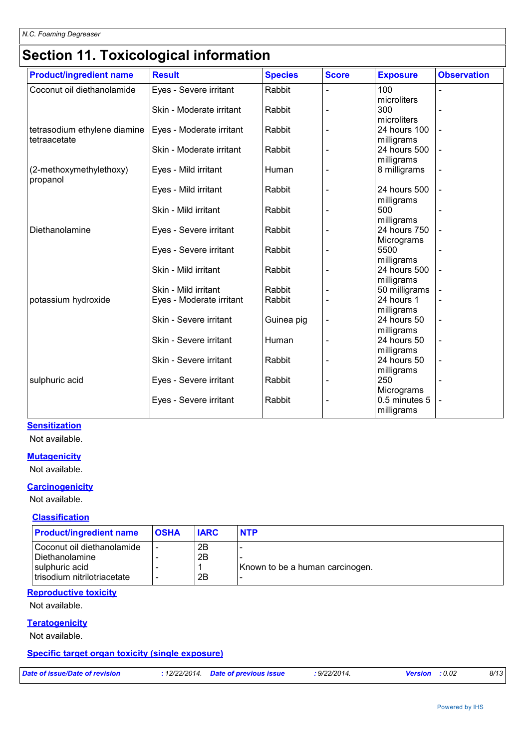## **Section 11. Toxicological information**

| <b>Product/ingredient name</b> | <b>Result</b>            | <b>Species</b> | <b>Score</b>   | <b>Exposure</b>           | <b>Observation</b> |
|--------------------------------|--------------------------|----------------|----------------|---------------------------|--------------------|
| Coconut oil diethanolamide     | Eyes - Severe irritant   | Rabbit         |                | 100                       |                    |
|                                |                          |                |                | microliters               |                    |
|                                | Skin - Moderate irritant | Rabbit         |                | 300                       |                    |
|                                |                          |                |                | microliters               |                    |
| tetrasodium ethylene diamine   | Eyes - Moderate irritant | Rabbit         |                | 24 hours 100              |                    |
| tetraacetate                   |                          |                |                | milligrams                |                    |
|                                | Skin - Moderate irritant | Rabbit         |                | 24 hours 500              |                    |
|                                |                          |                |                | milligrams                |                    |
| (2-methoxymethylethoxy)        | Eyes - Mild irritant     | Human          |                | 8 milligrams              |                    |
| propanol                       | Eyes - Mild irritant     | Rabbit         |                | 24 hours 500              |                    |
|                                |                          |                |                | milligrams                |                    |
|                                | Skin - Mild irritant     | Rabbit         |                | 500                       |                    |
|                                |                          |                |                | milligrams                |                    |
| Diethanolamine                 | Eyes - Severe irritant   | Rabbit         |                | 24 hours 750              |                    |
|                                |                          |                |                | Micrograms                |                    |
|                                | Eyes - Severe irritant   | Rabbit         |                | 5500                      |                    |
|                                |                          |                |                | milligrams                |                    |
|                                | Skin - Mild irritant     | Rabbit         |                | 24 hours 500              |                    |
|                                |                          |                |                | milligrams                |                    |
|                                | Skin - Mild irritant     | Rabbit         |                | 50 milligrams             |                    |
| potassium hydroxide            | Eyes - Moderate irritant | Rabbit         |                | 24 hours 1                |                    |
|                                |                          |                |                | milligrams                |                    |
|                                | Skin - Severe irritant   | Guinea pig     |                | 24 hours 50               |                    |
|                                |                          |                |                | milligrams                |                    |
|                                | Skin - Severe irritant   | Human          | $\blacksquare$ | 24 hours 50               | $\overline{a}$     |
|                                |                          |                |                | milligrams<br>24 hours 50 |                    |
|                                | Skin - Severe irritant   | Rabbit         |                |                           |                    |
| sulphuric acid                 | Eyes - Severe irritant   | Rabbit         |                | milligrams<br>250         |                    |
|                                |                          |                |                | Micrograms                |                    |
|                                | Eyes - Severe irritant   | Rabbit         |                | 0.5 minutes 5             |                    |
|                                |                          |                |                | milligrams                |                    |
|                                |                          |                |                |                           |                    |

#### **Sensitization**

Not available.

#### **Mutagenicity**

Not available.

#### **Carcinogenicity**

Not available.

#### **Classification**

| <b>Product/ingredient name</b>                                                                  | <b>OSHA</b> | <b>IARC</b>    | <b>NTP</b>                      |
|-------------------------------------------------------------------------------------------------|-------------|----------------|---------------------------------|
| Coconut oil diethanolamide<br>I Diethanolamine<br>sulphuric acid<br>trisodium nitrilotriacetate |             | 2Β<br>2Β<br>2B | Known to be a human carcinogen. |
|                                                                                                 |             |                |                                 |

#### **Reproductive toxicity**

Not available.

#### **Teratogenicity**

Not available.

#### **Specific target organ toxicity (single exposure)**

*Date of issue/Date of revision* **:** *12/22/2014. Date of previous issue : 9/22/2014. Version : 0.02 8/13*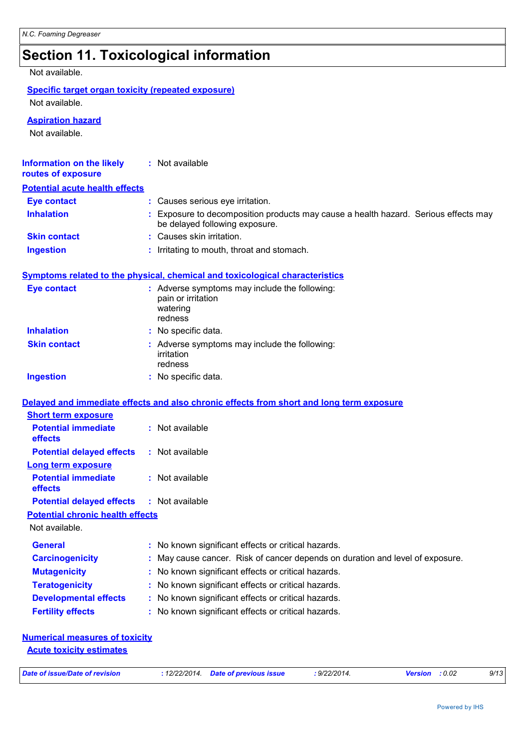## **Section 11. Toxicological information**

Not available.

#### **Specific target organ toxicity (repeated exposure)**

Not available.

#### **Aspiration hazard**

Not available.

| <b>Information on the likely</b><br>routes of exposure              | : Not available                                                                                                       |
|---------------------------------------------------------------------|-----------------------------------------------------------------------------------------------------------------------|
| <b>Potential acute health effects</b>                               |                                                                                                                       |
| <b>Eye contact</b>                                                  | : Causes serious eye irritation.                                                                                      |
| <b>Inhalation</b>                                                   | : Exposure to decomposition products may cause a health hazard. Serious effects may<br>be delayed following exposure. |
| <b>Skin contact</b>                                                 | : Causes skin irritation.                                                                                             |
| <b>Ingestion</b>                                                    | : Irritating to mouth, throat and stomach.                                                                            |
|                                                                     | <b>Symptoms related to the physical, chemical and toxicological characteristics</b>                                   |
| <b>Eye contact</b>                                                  | : Adverse symptoms may include the following:<br>pain or irritation<br>watering<br>redness                            |
| <b>Inhalation</b>                                                   | : No specific data.                                                                                                   |
| <b>Skin contact</b>                                                 | : Adverse symptoms may include the following:<br>irritation<br>redness                                                |
| <b>Ingestion</b>                                                    | : No specific data.                                                                                                   |
| <b>Short term exposure</b><br><b>Potential immediate</b><br>effects | Delayed and immediate effects and also chronic effects from short and long term exposure<br>: Not available           |
| <b>Potential delayed effects</b>                                    | : Not available                                                                                                       |
| <b>Long term exposure</b><br><b>Potential immediate</b><br>effects  | : Not available                                                                                                       |
| <b>Potential delayed effects</b>                                    | : Not available                                                                                                       |
| <b>Potential chronic health effects</b>                             |                                                                                                                       |
| Not available.                                                      |                                                                                                                       |
| <b>General</b>                                                      | : No known significant effects or critical hazards.                                                                   |
| <b>Carcinogenicity</b>                                              | : May cause cancer. Risk of cancer depends on duration and level of exposure.                                         |
| <b>Mutagenicity</b>                                                 | : No known significant effects or critical hazards.                                                                   |
| <b>Teratogenicity</b>                                               | : No known significant effects or critical hazards.                                                                   |
| <b>Developmental effects</b>                                        | : No known significant effects or critical hazards.                                                                   |
| <b>Fertility effects</b>                                            | : No known significant effects or critical hazards.                                                                   |
| <b>Numerical measures of toxicity</b>                               |                                                                                                                       |

**Acute toxicity estimates**

|  |  | Date of issue/Date of revision |  |
|--|--|--------------------------------|--|
|  |  |                                |  |

*Date of issue/Date of revision* **:** *12/22/2014. Date of previous issue : 9/22/2014. Version : 0.02 9/13*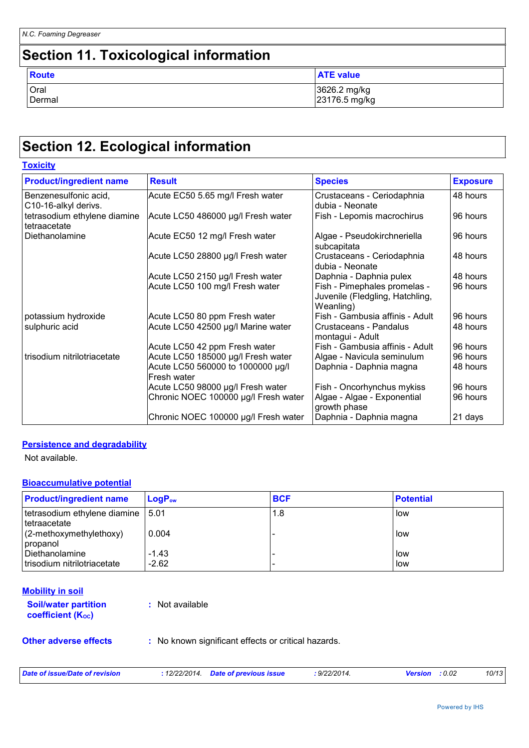## **Section 11. Toxicological information**

| <b>Route</b> | <b>ATE value</b> |
|--------------|------------------|
| Oral         | 3626.2 mg/kg     |
| Dermal       | 23176.5 mg/kg    |

## **Section 12. Ecological information**

| <b>Product/ingredient name</b>                | <b>Result</b>                                    | <b>Species</b>                                                               | <b>Exposure</b> |
|-----------------------------------------------|--------------------------------------------------|------------------------------------------------------------------------------|-----------------|
| Benzenesulfonic acid,<br>C10-16-alkyl derivs. | Acute EC50 5.65 mg/l Fresh water                 | Crustaceans - Ceriodaphnia<br>dubia - Neonate                                | 48 hours        |
| tetrasodium ethylene diamine<br>tetraacetate  | Acute LC50 486000 µg/l Fresh water               | Fish - Lepomis macrochirus                                                   | 96 hours        |
| Diethanolamine                                | Acute EC50 12 mg/l Fresh water                   | Algae - Pseudokirchneriella<br>subcapitata                                   | 96 hours        |
|                                               | Acute LC50 28800 µg/l Fresh water                | Crustaceans - Ceriodaphnia<br>dubia - Neonate                                | 48 hours        |
|                                               | Acute LC50 2150 µg/l Fresh water                 | Daphnia - Daphnia pulex                                                      | 48 hours        |
|                                               | Acute LC50 100 mg/l Fresh water                  | Fish - Pimephales promelas -<br>Juvenile (Fledgling, Hatchling,<br>Weanling) | 96 hours        |
| potassium hydroxide                           | Acute LC50 80 ppm Fresh water                    | Fish - Gambusia affinis - Adult                                              | 96 hours        |
| sulphuric acid                                | Acute LC50 42500 µg/l Marine water               | Crustaceans - Pandalus<br>montagui - Adult                                   | 48 hours        |
|                                               | Acute LC50 42 ppm Fresh water                    | Fish - Gambusia affinis - Adult                                              | 96 hours        |
| trisodium nitrilotriacetate                   | Acute LC50 185000 µg/l Fresh water               | Algae - Navicula seminulum                                                   | 96 hours        |
|                                               | Acute LC50 560000 to 1000000 µg/l<br>Fresh water | Daphnia - Daphnia magna                                                      | 48 hours        |
|                                               | Acute LC50 98000 µg/l Fresh water                | Fish - Oncorhynchus mykiss                                                   | 96 hours        |
|                                               | Chronic NOEC 100000 µg/l Fresh water             | Algae - Algae - Exponential<br>growth phase                                  | 96 hours        |
|                                               | Chronic NOEC 100000 µg/l Fresh water             | Daphnia - Daphnia magna                                                      | 21 days         |

#### **Persistence and degradability**

Not available.

#### **Bioaccumulative potential**

| <b>Product/ingredient name</b>                       | $LoaPow$           | <b>BCF</b> | <b>Potential</b> |
|------------------------------------------------------|--------------------|------------|------------------|
| tetrasodium ethylene diamine   5.01<br>Itetraacetate |                    | 1.8        | low              |
| $(2-methoxymethylethoxy)$<br>propanol                | 0.004              |            | low              |
| I Diethanolamine<br>trisodium nitrilotriacetate      | $-1.43$<br>$-2.62$ |            | l low<br>low     |

| <b>Soil/water partition</b>    | : Not available |
|--------------------------------|-----------------|
| coefficient (K <sub>oc</sub> ) |                 |
|                                |                 |

**Other adverse effects** : No known significant effects or critical hazards.

| Date of issue/Date of revision | : 12/22/2014 Date of previous issue | : 9/22/2014. | <b>Version</b> : 0.02 | 10/13 |
|--------------------------------|-------------------------------------|--------------|-----------------------|-------|
|                                |                                     |              |                       |       |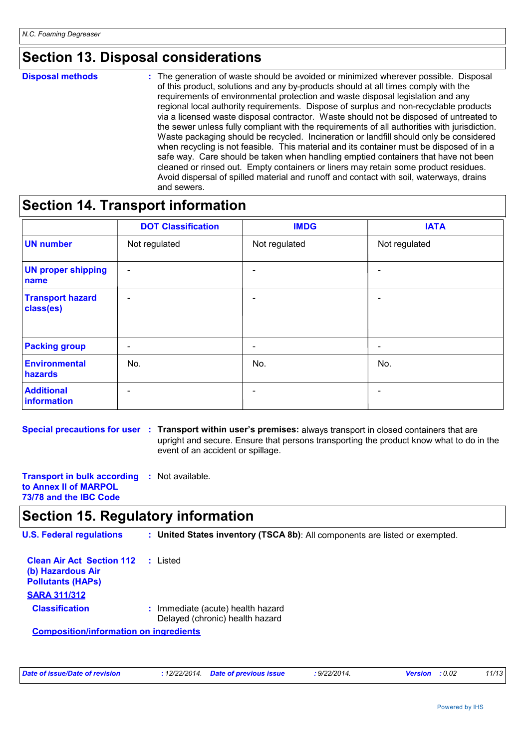### **Section 13. Disposal considerations**

**Disposal methods :**

The generation of waste should be avoided or minimized wherever possible. Disposal of this product, solutions and any by-products should at all times comply with the requirements of environmental protection and waste disposal legislation and any regional local authority requirements. Dispose of surplus and non-recyclable products via a licensed waste disposal contractor. Waste should not be disposed of untreated to the sewer unless fully compliant with the requirements of all authorities with jurisdiction. Waste packaging should be recycled. Incineration or landfill should only be considered when recycling is not feasible. This material and its container must be disposed of in a safe way. Care should be taken when handling emptied containers that have not been cleaned or rinsed out. Empty containers or liners may retain some product residues. Avoid dispersal of spilled material and runoff and contact with soil, waterways, drains and sewers.

### **Section 14. Transport information**

|                                      | <b>DOT Classification</b> | <b>IMDG</b>     | <b>IATA</b>   |
|--------------------------------------|---------------------------|-----------------|---------------|
| <b>UN</b> number                     | Not regulated             | Not regulated   | Not regulated |
| <b>UN proper shipping</b><br>name    | $\overline{\phantom{a}}$  |                 |               |
| <b>Transport hazard</b><br>class(es) | $\overline{\phantom{0}}$  |                 |               |
| <b>Packing group</b>                 | $\overline{\phantom{a}}$  | $\qquad \qquad$ | -             |
| Environmental<br>hazards             | No.                       | No.             | No.           |
| <b>Additional</b><br>information     |                           |                 |               |

**Special precautions for user : Transport within user's premises: always transport in closed containers that are** upright and secure. Ensure that persons transporting the product know what to do in the event of an accident or spillage.

**Transport in bulk according :** Not available. **to Annex II of MARPOL 73/78 and the IBC Code**

### **Section 15. Regulatory information**

**U.S. Federal regulations : United States inventory (TSCA 8b)**: All components are listed or exempted.

| <b>Clean Air Act Section 112 : Listed</b><br>(b) Hazardous Air<br><b>Pollutants (HAPS)</b><br><b>SARA 311/312</b> |                                                                      |
|-------------------------------------------------------------------------------------------------------------------|----------------------------------------------------------------------|
| <b>Classification</b>                                                                                             | : Immediate (acute) health hazard<br>Delayed (chronic) health hazard |

**Composition/information on ingredients**

| Date of issue/Date of revision | : 12/22/2014 Date of previous issue | : 9/22/2014. | <b>Version</b> : 0.02 | 11/13 |
|--------------------------------|-------------------------------------|--------------|-----------------------|-------|
|                                |                                     |              |                       |       |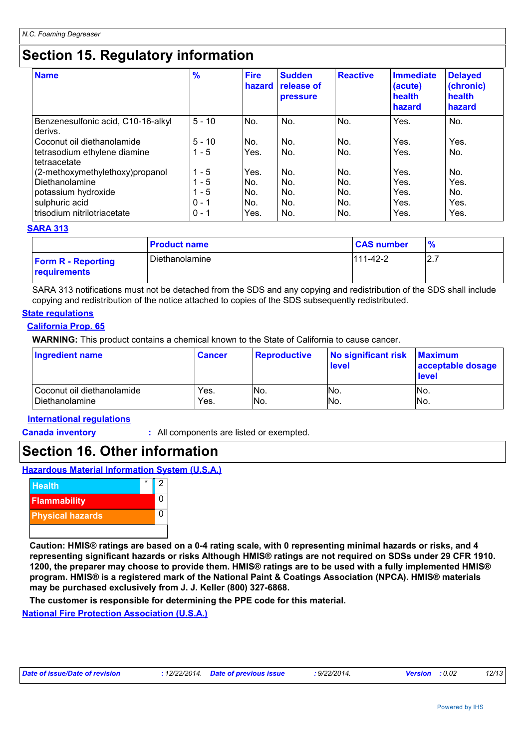### **Section 15. Regulatory information**

| <b>Name</b>                                   | $\frac{9}{6}$ | <b>Fire</b><br>hazard | <b>Sudden</b><br>release of<br><b>pressure</b> | <b>Reactive</b> | <b>Immediate</b><br>(acute)<br>health<br>hazard | <b>Delayed</b><br>(chronic)<br>health<br>hazard |
|-----------------------------------------------|---------------|-----------------------|------------------------------------------------|-----------------|-------------------------------------------------|-------------------------------------------------|
| Benzenesulfonic acid, C10-16-alkyl<br>derivs. | $5 - 10$      | No.                   | No.                                            | No.             | Yes.                                            | No.                                             |
| Coconut oil diethanolamide                    | $5 - 10$      | No.                   | No.                                            | No.             | Yes.                                            | Yes.                                            |
| tetrasodium ethylene diamine<br>tetraacetate  | - 5           | Yes.                  | No.                                            | No.             | Yes.                                            | No.                                             |
| (2-methoxymethylethoxy)propanol               | - 5           | Yes.                  | No.                                            | No.             | Yes.                                            | No.                                             |
| Diethanolamine                                | - 5           | No.                   | No.                                            | No.             | Yes.                                            | Yes.                                            |
| potassium hydroxide                           | - 5           | No.                   | No.                                            | No.             | Yes.                                            | No.                                             |
| sulphuric acid                                | $0 - 1$       | No.                   | No.                                            | No.             | Yes.                                            | Yes.                                            |
| trisodium nitrilotriacetate                   | $0 - 1$       | Yes.                  | No.                                            | No.             | Yes.                                            | Yes.                                            |

#### **SARA 313**

|                                                  | <b>Product name</b> | <b>CAS number</b> |        |
|--------------------------------------------------|---------------------|-------------------|--------|
| <b>Form R</b> - Reporting<br><b>requirements</b> | Diethanolamine      | 111-42-2          | $\sim$ |

SARA 313 notifications must not be detached from the SDS and any copying and redistribution of the SDS shall include copying and redistribution of the notice attached to copies of the SDS subsequently redistributed.

#### **State regulations**

#### **California Prop. 65**

**WARNING:** This product contains a chemical known to the State of California to cause cancer.

| <b>Ingredient name</b>     | <b>Cancer</b> | <b>Reproductive</b> | No significant risk<br><b>level</b> | <b>Maximum</b><br>acceptable dosage<br><b>level</b> |
|----------------------------|---------------|---------------------|-------------------------------------|-----------------------------------------------------|
| Coconut oil diethanolamide | Yes.          | No.                 | No.                                 | No.                                                 |
| Diethanolamine             | Yes.          | No.                 | No.                                 | No.                                                 |

#### **International regulations**

**Canada inventory :** All components are listed or exempted.

### **Section 16. Other information**

**Hazardous Material Information System (U.S.A.)**



**Caution: HMIS® ratings are based on a 0-4 rating scale, with 0 representing minimal hazards or risks, and 4 representing significant hazards or risks Although HMIS® ratings are not required on SDSs under 29 CFR 1910. 1200, the preparer may choose to provide them. HMIS® ratings are to be used with a fully implemented HMIS® program. HMIS® is a registered mark of the National Paint & Coatings Association (NPCA). HMIS® materials may be purchased exclusively from J. J. Keller (800) 327-6868.**

**The customer is responsible for determining the PPE code for this material.**

**National Fire Protection Association (U.S.A.)**